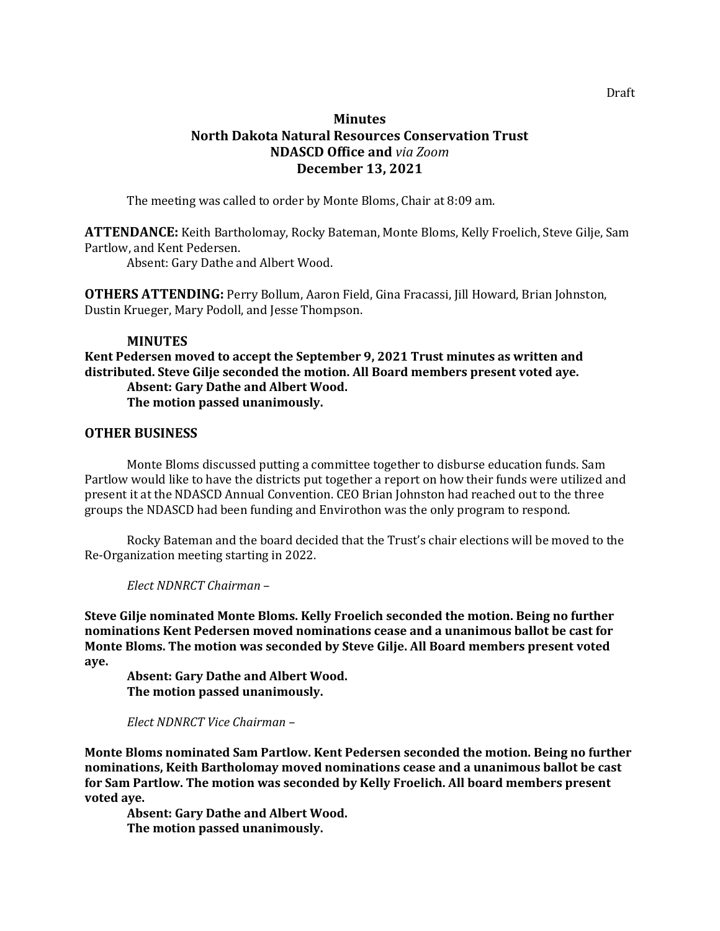## **Minutes North Dakota Natural Resources Conservation Trust NDASCD Office and** *via Zoom* **December 13, 2021**

The meeting was called to order by Monte Bloms, Chair at 8:09 am.

**ATTENDANCE:** Keith Bartholomay, Rocky Bateman, Monte Bloms, Kelly Froelich, Steve Gilje, Sam Partlow, and Kent Pedersen.

Absent: Gary Dathe and Albert Wood.

**OTHERS ATTENDING:** Perry Bollum, Aaron Field, Gina Fracassi, Jill Howard, Brian Johnston, Dustin Krueger, Mary Podoll, and Jesse Thompson.

## **MINUTES**

**Kent Pedersen moved to accept the September 9, 2021 Trust minutes as written and distributed. Steve Gilje seconded the motion. All Board members present voted aye. Absent: Gary Dathe and Albert Wood. The motion passed unanimously.**

## **OTHER BUSINESS**

Monte Bloms discussed putting a committee together to disburse education funds. Sam Partlow would like to have the districts put together a report on how their funds were utilized and present it at the NDASCD Annual Convention. CEO Brian Johnston had reached out to the three groups the NDASCD had been funding and Envirothon was the only program to respond.

Rocky Bateman and the board decided that the Trust's chair elections will be moved to the Re-Organization meeting starting in 2022.

*Elect NDNRCT Chairman* –

**Steve Gilje nominated Monte Bloms. Kelly Froelich seconded the motion. Being no further nominations Kent Pedersen moved nominations cease and a unanimous ballot be cast for Monte Bloms. The motion was seconded by Steve Gilje. All Board members present voted aye.** 

**Absent: Gary Dathe and Albert Wood. The motion passed unanimously.**

## *Elect NDNRCT Vice Chairman* –

**Monte Bloms nominated Sam Partlow. Kent Pedersen seconded the motion. Being no further nominations, Keith Bartholomay moved nominations cease and a unanimous ballot be cast for Sam Partlow. The motion was seconded by Kelly Froelich. All board members present voted aye.** 

**Absent: Gary Dathe and Albert Wood. The motion passed unanimously.**